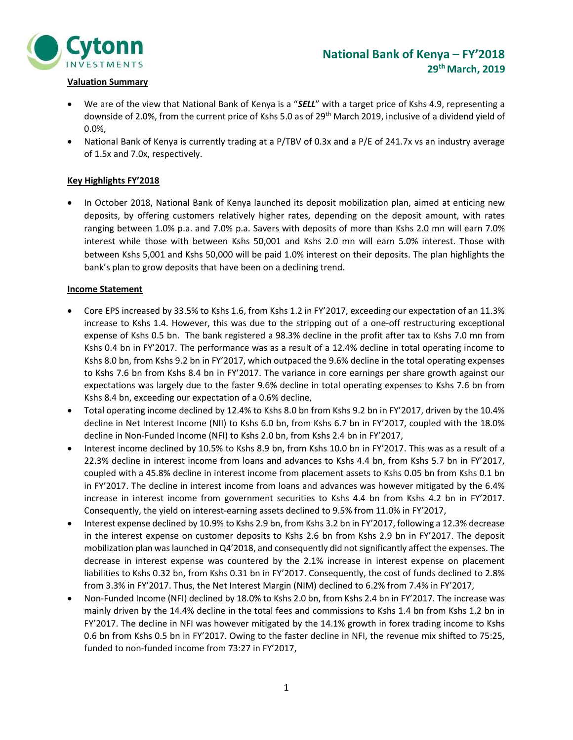

#### Valuation Summary

- We are of the view that National Bank of Kenya is a "SELL" with a target price of Kshs 4.9, representing a downside of 2.0%, from the current price of Kshs 5.0 as of 29th March 2019, inclusive of a dividend yield of 0.0%,
- National Bank of Kenya is currently trading at a P/TBV of 0.3x and a P/E of 241.7x vs an industry average of 1.5x and 7.0x, respectively.

#### Key Highlights FY'2018

 In October 2018, National Bank of Kenya launched its deposit mobilization plan, aimed at enticing new deposits, by offering customers relatively higher rates, depending on the deposit amount, with rates ranging between 1.0% p.a. and 7.0% p.a. Savers with deposits of more than Kshs 2.0 mn will earn 7.0% interest while those with between Kshs 50,001 and Kshs 2.0 mn will earn 5.0% interest. Those with between Kshs 5,001 and Kshs 50,000 will be paid 1.0% interest on their deposits. The plan highlights the bank's plan to grow deposits that have been on a declining trend.

#### Income Statement

- Core EPS increased by 33.5% to Kshs 1.6, from Kshs 1.2 in FY'2017, exceeding our expectation of an 11.3% increase to Kshs 1.4. However, this was due to the stripping out of a one-off restructuring exceptional expense of Kshs 0.5 bn. The bank registered a 98.3% decline in the profit after tax to Kshs 7.0 mn from Kshs 0.4 bn in FY'2017. The performance was as a result of a 12.4% decline in total operating income to Kshs 8.0 bn, from Kshs 9.2 bn in FY'2017, which outpaced the 9.6% decline in the total operating expenses to Kshs 7.6 bn from Kshs 8.4 bn in FY'2017. The variance in core earnings per share growth against our expectations was largely due to the faster 9.6% decline in total operating expenses to Kshs 7.6 bn from Kshs 8.4 bn, exceeding our expectation of a 0.6% decline,
- Total operating income declined by 12.4% to Kshs 8.0 bn from Kshs 9.2 bn in FY'2017, driven by the 10.4% decline in Net Interest Income (NII) to Kshs 6.0 bn, from Kshs 6.7 bn in FY'2017, coupled with the 18.0% decline in Non-Funded Income (NFI) to Kshs 2.0 bn, from Kshs 2.4 bn in FY'2017,
- Interest income declined by 10.5% to Kshs 8.9 bn, from Kshs 10.0 bn in FY'2017. This was as a result of a 22.3% decline in interest income from loans and advances to Kshs 4.4 bn, from Kshs 5.7 bn in FY'2017, coupled with a 45.8% decline in interest income from placement assets to Kshs 0.05 bn from Kshs 0.1 bn in FY'2017. The decline in interest income from loans and advances was however mitigated by the 6.4% increase in interest income from government securities to Kshs 4.4 bn from Kshs 4.2 bn in FY'2017. Consequently, the yield on interest-earning assets declined to 9.5% from 11.0% in FY'2017,
- Interest expense declined by 10.9% to Kshs 2.9 bn, from Kshs 3.2 bn in FY'2017, following a 12.3% decrease in the interest expense on customer deposits to Kshs 2.6 bn from Kshs 2.9 bn in FY'2017. The deposit mobilization plan was launched in Q4'2018, and consequently did not significantly affect the expenses. The decrease in interest expense was countered by the 2.1% increase in interest expense on placement liabilities to Kshs 0.32 bn, from Kshs 0.31 bn in FY'2017. Consequently, the cost of funds declined to 2.8% from 3.3% in FY'2017. Thus, the Net Interest Margin (NIM) declined to 6.2% from 7.4% in FY'2017,
- Non-Funded Income (NFI) declined by 18.0% to Kshs 2.0 bn, from Kshs 2.4 bn in FY'2017. The increase was mainly driven by the 14.4% decline in the total fees and commissions to Kshs 1.4 bn from Kshs 1.2 bn in FY'2017. The decline in NFI was however mitigated by the 14.1% growth in forex trading income to Kshs 0.6 bn from Kshs 0.5 bn in FY'2017. Owing to the faster decline in NFI, the revenue mix shifted to 75:25, funded to non-funded income from 73:27 in FY'2017,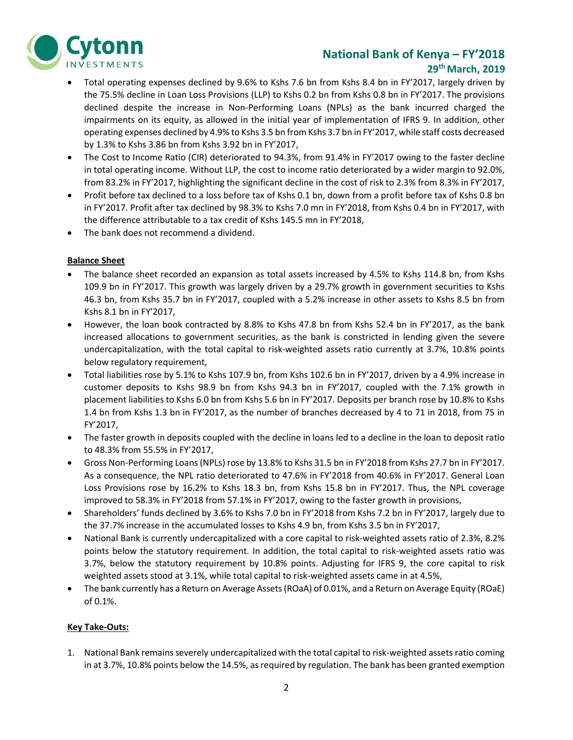

## National Bank of Kenya – FY'2018 29th March, 2019

- Total operating expenses declined by 9.6% to Kshs 7.6 bn from Kshs 8.4 bn in FY'2017, largely driven by the 75.5% decline in Loan Loss Provisions (LLP) to Kshs 0.2 bn from Kshs 0.8 bn in FY'2017. The provisions declined despite the increase in Non-Performing Loans (NPLs) as the bank incurred charged the impairments on its equity, as allowed in the initial year of implementation of IFRS 9. In addition, other operating expenses declined by 4.9% to Kshs 3.5 bn from Kshs 3.7 bn in FY'2017, while staff costs decreased by 1.3% to Kshs 3.86 bn from Kshs 3.92 bn in FY'2017,
- The Cost to Income Ratio (CIR) deteriorated to 94.3%, from 91.4% in FY'2017 owing to the faster decline in total operating income. Without LLP, the cost to income ratio deteriorated by a wider margin to 92.0%, from 83.2% in FY'2017, highlighting the significant decline in the cost of risk to 2.3% from 8.3% in FY'2017,
- Profit before tax declined to a loss before tax of Kshs 0.1 bn, down from a profit before tax of Kshs 0.8 bn in FY'2017. Profit after tax declined by 98.3% to Kshs 7.0 mn in FY'2018, from Kshs 0.4 bn in FY'2017, with the difference attributable to a tax credit of Kshs 145.5 mn in FY'2018,
- The bank does not recommend a dividend.

#### Balance Sheet

- The balance sheet recorded an expansion as total assets increased by 4.5% to Kshs 114.8 bn, from Kshs 109.9 bn in FY'2017. This growth was largely driven by a 29.7% growth in government securities to Kshs 46.3 bn, from Kshs 35.7 bn in FY'2017, coupled with a 5.2% increase in other assets to Kshs 8.5 bn from Kshs 8.1 bn in FY'2017,
- However, the loan book contracted by 8.8% to Kshs 47.8 bn from Kshs 52.4 bn in FY'2017, as the bank increased allocations to government securities, as the bank is constricted in lending given the severe undercapitalization, with the total capital to risk-weighted assets ratio currently at 3.7%, 10.8% points below regulatory requirement,
- Total liabilities rose by 5.1% to Kshs 107.9 bn, from Kshs 102.6 bn in FY'2017, driven by a 4.9% increase in customer deposits to Kshs 98.9 bn from Kshs 94.3 bn in FY'2017, coupled with the 7.1% growth in placement liabilities to Kshs 6.0 bn from Kshs 5.6 bn in FY'2017. Deposits per branch rose by 10.8% to Kshs 1.4 bn from Kshs 1.3 bn in FY'2017, as the number of branches decreased by 4 to 71 in 2018, from 75 in FY'2017,
- The faster growth in deposits coupled with the decline in loans led to a decline in the loan to deposit ratio to 48.3% from 55.5% in FY'2017,
- Gross Non-Performing Loans (NPLs) rose by 13.8% to Kshs 31.5 bn in FY'2018 from Kshs 27.7 bn in FY'2017. As a consequence, the NPL ratio deteriorated to 47.6% in FY'2018 from 40.6% in FY'2017. General Loan Loss Provisions rose by 16.2% to Kshs 18.3 bn, from Kshs 15.8 bn in FY'2017. Thus, the NPL coverage improved to 58.3% in FY'2018 from 57.1% in FY'2017, owing to the faster growth in provisions,
- Shareholders' funds declined by 3.6% to Kshs 7.0 bn in FY'2018 from Kshs 7.2 bn in FY'2017, largely due to the 37.7% increase in the accumulated losses to Kshs 4.9 bn, from Kshs 3.5 bn in FY'2017,
- National Bank is currently undercapitalized with a core capital to risk-weighted assets ratio of 2.3%, 8.2% points below the statutory requirement. In addition, the total capital to risk-weighted assets ratio was 3.7%, below the statutory requirement by 10.8% points. Adjusting for IFRS 9, the core capital to risk weighted assets stood at 3.1%, while total capital to risk-weighted assets came in at 4.5%,
- The bank currently has a Return on Average Assets (ROaA) of 0.01%, and a Return on Average Equity (ROaE) of 0.1%.

#### Key Take-Outs:

1. National Bank remains severely undercapitalized with the total capital to risk-weighted assets ratio coming in at 3.7%, 10.8% points below the 14.5%, as required by regulation. The bank has been granted exemption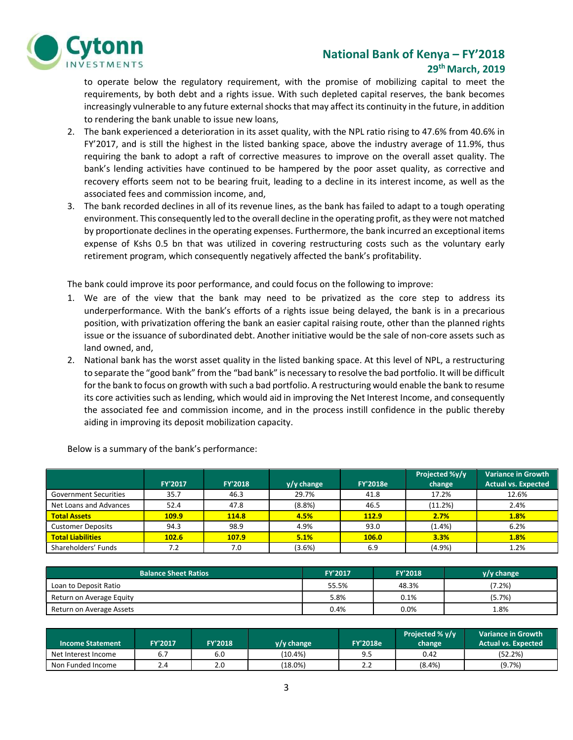

### National Bank of Kenya – FY'2018 29th March, 2019

to operate below the regulatory requirement, with the promise of mobilizing capital to meet the requirements, by both debt and a rights issue. With such depleted capital reserves, the bank becomes increasingly vulnerable to any future external shocks that may affect its continuity in the future, in addition to rendering the bank unable to issue new loans,

- 2. The bank experienced a deterioration in its asset quality, with the NPL ratio rising to 47.6% from 40.6% in FY'2017, and is still the highest in the listed banking space, above the industry average of 11.9%, thus requiring the bank to adopt a raft of corrective measures to improve on the overall asset quality. The bank's lending activities have continued to be hampered by the poor asset quality, as corrective and recovery efforts seem not to be bearing fruit, leading to a decline in its interest income, as well as the associated fees and commission income, and,
- 3. The bank recorded declines in all of its revenue lines, as the bank has failed to adapt to a tough operating environment. This consequently led to the overall decline in the operating profit, as they were not matched by proportionate declines in the operating expenses. Furthermore, the bank incurred an exceptional items expense of Kshs 0.5 bn that was utilized in covering restructuring costs such as the voluntary early retirement program, which consequently negatively affected the bank's profitability.

The bank could improve its poor performance, and could focus on the following to improve:

- 1. We are of the view that the bank may need to be privatized as the core step to address its underperformance. With the bank's efforts of a rights issue being delayed, the bank is in a precarious position, with privatization offering the bank an easier capital raising route, other than the planned rights issue or the issuance of subordinated debt. Another initiative would be the sale of non-core assets such as land owned, and,
- 2. National bank has the worst asset quality in the listed banking space. At this level of NPL, a restructuring to separate the "good bank" from the "bad bank" is necessary to resolve the bad portfolio. It will be difficult for the bank to focus on growth with such a bad portfolio. A restructuring would enable the bank to resume its core activities such as lending, which would aid in improving the Net Interest Income, and consequently the associated fee and commission income, and in the process instill confidence in the public thereby aiding in improving its deposit mobilization capacity.

|                              | <b>FY'2017</b> | <b>FY'2018</b> | $y/y$ change | <b>FY'2018e</b> | Projected %y/y<br>change | <b>Variance in Growth</b><br><b>Actual vs. Expected</b> |
|------------------------------|----------------|----------------|--------------|-----------------|--------------------------|---------------------------------------------------------|
| <b>Government Securities</b> | 35.7           | 46.3           | 29.7%        | 41.8            | 17.2%                    | 12.6%                                                   |
| Net Loans and Advances       | 52.4           | 47.8           | (8.8%)       | 46.5            | (11.2%)                  | 2.4%                                                    |
| <b>Total Assets</b>          | 109.9          | 114.8          | 4.5%         | 112.9           | 2.7%                     | 1.8%                                                    |
| <b>Customer Deposits</b>     | 94.3           | 98.9           | 4.9%         | 93.0            | $(1.4\%)$                | 6.2%                                                    |
| <b>Total Liabilities</b>     | 102.6          | 107.9          | 5.1%         | <b>106.0</b>    | 3.3%                     | 1.8%                                                    |
| Shareholders' Funds          | 7.2            | 7.0            | (3.6%)       | 6.9             | (4.9%                    | 1.2%                                                    |

Below is a summary of the bank's performance:

| <b>Balance Sheet Ratios</b> | <b>FY'2017</b> | <b>FY'2018</b> | y/y change |
|-----------------------------|----------------|----------------|------------|
| Loan to Deposit Ratio       | 55.5%          | 48.3%          | (7.2%)     |
| Return on Average Equity    | 5.8%           | $0.1\%$        | (5.7%)     |
| Return on Average Assets    | 0.4%           | 0.0%           | 8%.        |

| <b>Income Statement</b> | FY'2017 | <b>FY'2018</b> | $V/V$ change | <b>FY'2018e</b> | Projected % y/y<br>change | Variance in Growth<br><b>Actual vs. Expected</b> |
|-------------------------|---------|----------------|--------------|-----------------|---------------------------|--------------------------------------------------|
| Net Interest Income     | b.,     | 6.0            | (10.4%)      | 9.5             | 0.42                      | (52.2%)                                          |
| Non Funded Income       | 2.4     | 2.0            | $(18.0\%)$   | ے ۔             | $(8.4\%)$                 | (9.7%)                                           |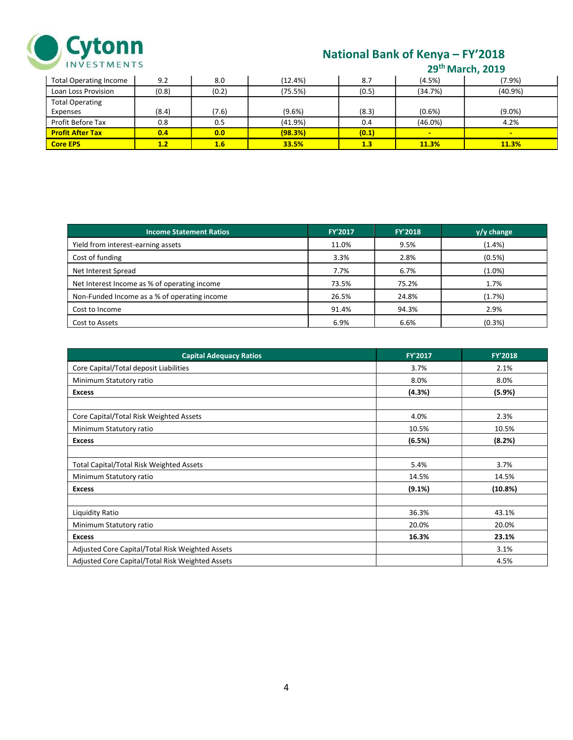

# National Bank of Kenya – FY'2018

|  | 29 <sup>th</sup> March, 2019 |  |
|--|------------------------------|--|
|--|------------------------------|--|

| <b>Total Operating Income</b> | 9.2   | 8.0   | $(12.4\%)$ | 8.7   | (4.5%)                   | (7.9%)     |
|-------------------------------|-------|-------|------------|-------|--------------------------|------------|
| Loan Loss Provision           | (0.8) | (0.2) | (75.5%)    | (0.5) | (34.7%)                  | $(40.9\%)$ |
| <b>Total Operating</b>        |       |       |            |       |                          |            |
| Expenses                      | (8.4) | (7.6) | $(9.6\%)$  | (8.3) | (0.6% )                  | $(9.0\%)$  |
| Profit Before Tax             | 0.8   | 0.5   | (41.9%)    | 0.4   | $(46.0\%)$               | 4.2%       |
| <b>Profit After Tax</b>       | 0.4   | 0.0   | (98.3%)    | (0.1) | $\overline{\phantom{a}}$ | $\sim$     |
| <b>Core EPS</b>               | 1.2   | 1.6   | 33.5%      | 1.3   | 11.3%                    | 11.3%      |

| <b>Income Statement Ratios</b>               | <b>FY'2017</b> | <b>FY'2018</b> | $y/y$ change |
|----------------------------------------------|----------------|----------------|--------------|
| Yield from interest-earning assets           | 11.0%          | 9.5%           | (1.4% )      |
| Cost of funding                              | 3.3%           | 2.8%           | (0.5%)       |
| Net Interest Spread                          | 7.7%           | 6.7%           | $(1.0\%)$    |
| Net Interest Income as % of operating income | 73.5%          | 75.2%          | 1.7%         |
| Non-Funded Income as a % of operating income | 26.5%          | 24.8%          | (1.7%)       |
| Cost to Income                               | 91.4%          | 94.3%          | 2.9%         |
| Cost to Assets                               | 6.9%           | 6.6%           | (0.3%)       |

| <b>Capital Adequacy Ratios</b>                   | FY'2017   | <b>FY'2018</b> |
|--------------------------------------------------|-----------|----------------|
| Core Capital/Total deposit Liabilities           | 3.7%      | 2.1%           |
| Minimum Statutory ratio                          | 8.0%      | 8.0%           |
| <b>Excess</b>                                    | (4.3%)    | (5.9%)         |
|                                                  |           |                |
| Core Capital/Total Risk Weighted Assets          | 4.0%      | 2.3%           |
| Minimum Statutory ratio                          | 10.5%     | 10.5%          |
| <b>Excess</b>                                    | (6.5%)    | (8.2%)         |
|                                                  |           |                |
| <b>Total Capital/Total Risk Weighted Assets</b>  | 5.4%      | 3.7%           |
| Minimum Statutory ratio                          | 14.5%     | 14.5%          |
| <b>Excess</b>                                    | $(9.1\%)$ | (10.8%)        |
|                                                  |           |                |
| Liquidity Ratio                                  | 36.3%     | 43.1%          |
| Minimum Statutory ratio                          | 20.0%     | 20.0%          |
| <b>Excess</b>                                    | 16.3%     | 23.1%          |
| Adjusted Core Capital/Total Risk Weighted Assets |           | 3.1%           |
| Adjusted Core Capital/Total Risk Weighted Assets |           | 4.5%           |